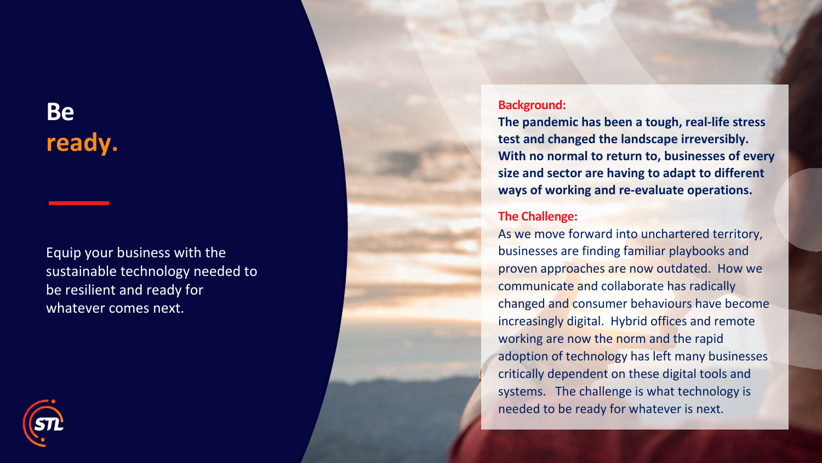## **Be ready .**

Equip your business with the sustainable technology needed to be resilient and ready for whatever comes next.

## **Background:**

**The pandemic has been a tough, real-life stress test and changed the landscape irreversibly. With no normal to return to, businesses of every size and sector are having to adapt to different ways of working and re-evaluate operations.**

## **The Challenge:**

As we move forward into unchartered territory, businesses are finding familiar playbooks and proven approaches are now outdated. How we communicate and collaborate has radically changed and consumer behaviours have become increasingly digital. Hybrid offices and remote working are now the norm and the rapid adoption of technology has left many businesses critically dependent on these digital tools and systems. The challenge is what technology is needed to be ready for whatever is next.